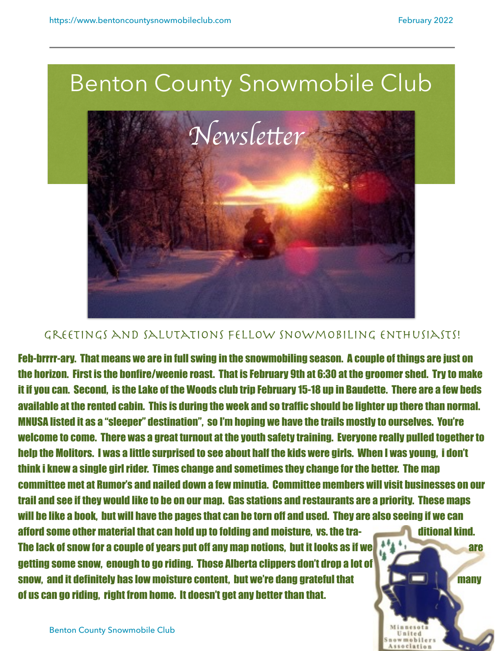

## GREETINGS AND SALUTATIONS FELLOW SNOWMOBILING ENTHUSIASTS!

Feb-brrrr-ary. That means we are in full swing in the snowmobiling season. A couple of things are just on the horizon. First is the bonfire/weenie roast. That is February 9th at 6:30 at the groomer shed. Try to make it if you can. Second, is the Lake of the Woods club trip February 15-18 up in Baudette. There are a few beds available at the rented cabin. This is during the week and so traffic should be lighter up there than normal. MNUSA listed it as a "sleeper" destination", so I'm hoping we have the trails mostly to ourselves. You're welcome to come. There was a great turnout at the youth safety training. Everyone really pulled together to help the Molitors. I was a little surprised to see about half the kids were girls. When I was young, i don't think i knew a single girl rider. Times change and sometimes they change for the better. The map committee met at Rumor's and nailed down a few minutia. Committee members will visit businesses on our trail and see if they would like to be on our map. Gas stations and restaurants are a priority. These maps will be like a book, but will have the pages that can be torn off and used. They are also seeing if we can afford some other material that can hold up to folding and moisture, vs. the tra-The lack of snow for a couple of years put off any map notions, but it looks as if we have a second that the same getting some snow, enough to go riding. Those Alberta clippers don't drop a lot of snow, and it definitely has low moisture content, but we're dang grateful that **the content of the many** 

of us can go riding, right from home. It doesn't get any better than that.